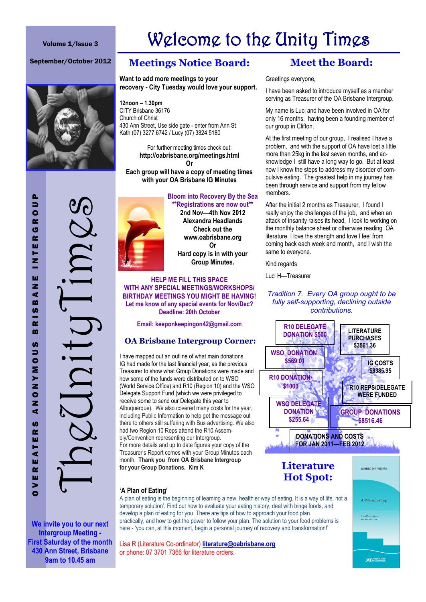#### Volume 1/Issue 3

# Welcome to the Unity Times

#### September/October 2012



# **Meetings Notice Board:**

#### **Want to add more meetings to your recovery - City Tuesday would love your support.**

**12noon – 1.30pm** CITY Brisbane 36176 Church of Christ 430 Ann Street, Use side gate - enter from Ann St Kath (07) 3277 6742 / Lucy (07) 3824 5180

> For further meeting times check out: **http://oabrisbane.org/meetings.html Or**

**Each group will have a copy of meeting times with your OA Brisbane IG Minutes**

#### **Bloom into Recovery By the Sea \*\*Registrations are now out\*\***



**'A Plan of Eating'**

**2nd Nov—4th Nov 2012 Alexandra Headlands Check out the www.oabrisbane.org Or Hard copy is in with your Group Minutes.**

**HELP ME FILL THIS SPACE WITH ANY SPECIAL MEETINGS/WORKSHOPS/ BIRTHDAY MEETINGS YOU MIGHT BE HAVING! Let me know of any special events for Nov/Dec? Deadline: 20th October**

**Email: keeponkeepingon42@gmail.com**

### **OA Brisbane Intergroup Corner:**

I have mapped out an outline of what main donations IG had made for the last financial year, as the previous Treasurer to show what Group Donations were made and how some of the funds were distributed on to WSO (World Service Office) and R10 (Region 10) and the WSO Delegate Support Fund (which we were privileged to receive some to send our Delegate this year to Albuquerque). We also covered many costs for the year, including Public Information to help get the message out there to others still suffering with Bus advertising. We also had two Region 10 Reps attend the R10 Assembly/Convention representing our Intergroup. For more details and up to date figures your copy of the Treasurer's Report comes with your Group Minutes each month. **Thank you from OA Brisbane Intergroup for your Group Donations. Kim K** 

# **Meet the Board:**

Greetings everyone,

I have been asked to introduce myself as a member serving as Treasurer of the OA Brisbane Intergroup.

My name is Luci and have been involved in OA for only 16 months, having been a founding member of our group in Clifton.

At the first meeting of our group, I realised I have a problem, and with the support of OA have lost a little more than 25kg in the last seven months, and acknowledge I still have a long way to go. But at least now I know the steps to address my disorder of compulsive eating. The greatest help in my journey has been through service and support from my fellow members.

After the initial 2 months as Treasurer, I found I really enjoy the challenges of the job, and when an attack of insanity raises its head, I look to working on the monthly balance sheet or otherwise reading OA literature. I love the strength and love I feel from coming back each week and month, and I wish the same to everyone.

Kind regards

Luci H—Treasurer

#### *Tradition 7. Every OA group ought to be fully self-supporting, declining outside contributions.*



**We invite you to our next Intergroup Meeting - First Saturday of the month 430 Ann Street, Brisbane 9am to 10.45 am**

Lisa R (Literature Co-ordinator) **[literature@oabrisbane.org](mailto:literature@oabrisbane.org)** or phone: 07 3701 7366 for literature orders.